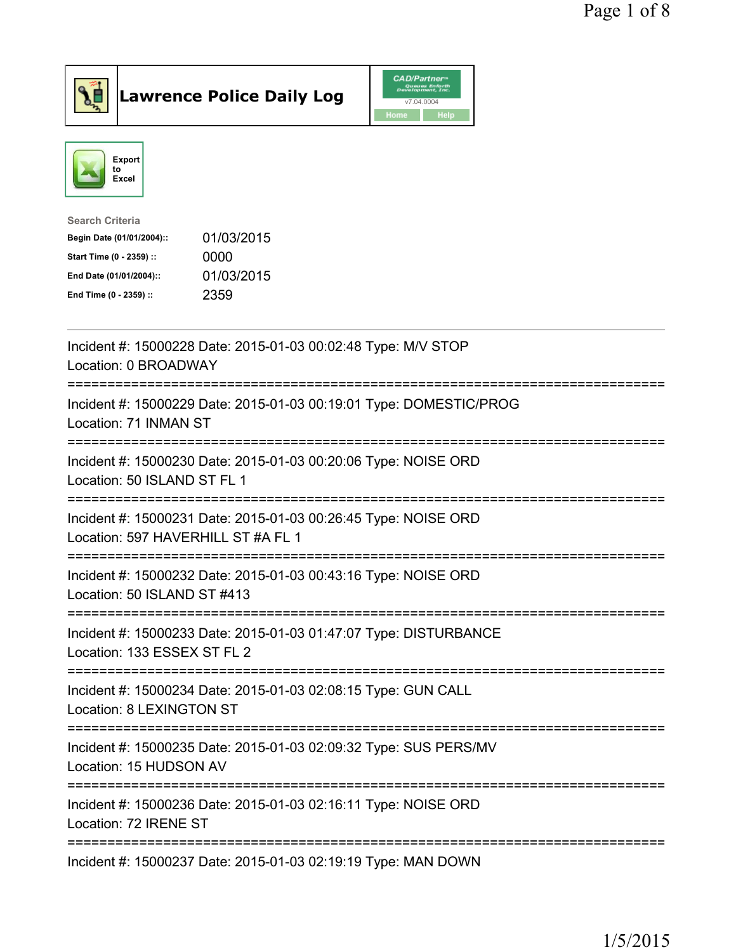

Lawrence Police Daily Log CAD/Partners



| <b>Search Criteria</b>    |            |
|---------------------------|------------|
| Begin Date (01/01/2004):: | 01/03/2015 |
| Start Time (0 - 2359) ::  | 0000       |
| End Date (01/01/2004)::   | 01/03/2015 |
| End Time (0 - 2359) ::    | 2359       |
|                           |            |

| Incident #: 15000228 Date: 2015-01-03 00:02:48 Type: M/V STOP<br>Location: 0 BROADWAY                                                 |
|---------------------------------------------------------------------------------------------------------------------------------------|
| Incident #: 15000229 Date: 2015-01-03 00:19:01 Type: DOMESTIC/PROG<br>Location: 71 INMAN ST                                           |
| Incident #: 15000230 Date: 2015-01-03 00:20:06 Type: NOISE ORD<br>Location: 50 ISLAND ST FL 1<br>:==============                      |
| Incident #: 15000231 Date: 2015-01-03 00:26:45 Type: NOISE ORD<br>Location: 597 HAVERHILL ST #A FL 1<br>.__________                   |
| Incident #: 15000232 Date: 2015-01-03 00:43:16 Type: NOISE ORD<br>Location: 50 ISLAND ST #413<br>==================================== |
| Incident #: 15000233 Date: 2015-01-03 01:47:07 Type: DISTURBANCE<br>Location: 133 ESSEX ST FL 2                                       |
| Incident #: 15000234 Date: 2015-01-03 02:08:15 Type: GUN CALL<br>Location: 8 LEXINGTON ST<br>-----------------                        |
| Incident #: 15000235 Date: 2015-01-03 02:09:32 Type: SUS PERS/MV<br>Location: 15 HUDSON AV                                            |
| Incident #: 15000236 Date: 2015-01-03 02:16:11 Type: NOISE ORD<br>Location: 72 IRENE ST                                               |
| Incident #: 15000237 Date: 2015-01-03 02:19:19 Type: MAN DOWN                                                                         |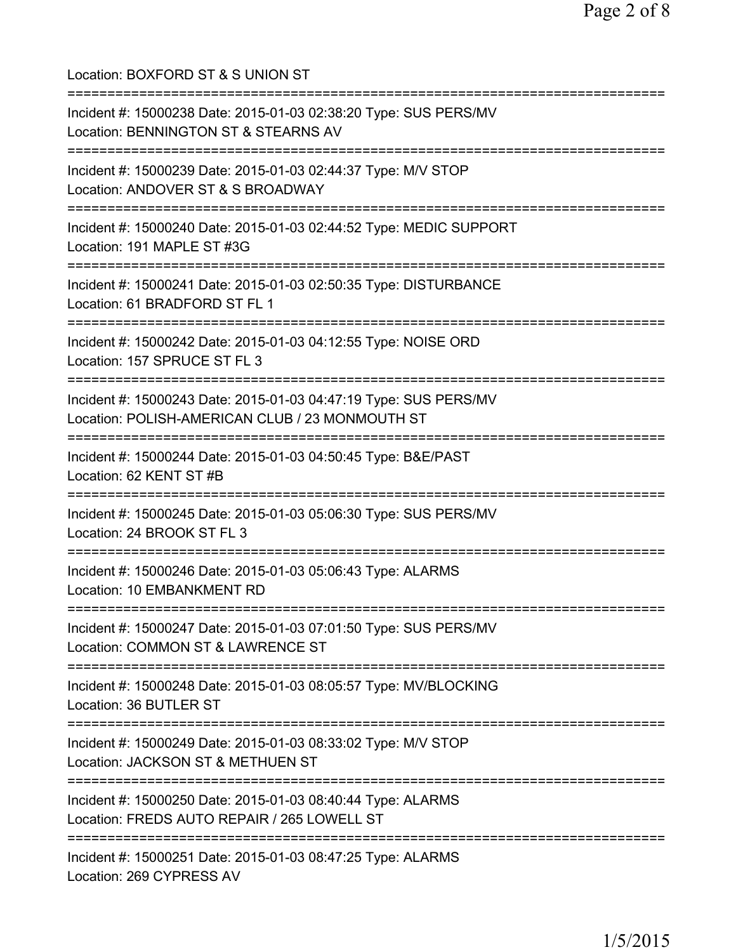| Location: BOXFORD ST & S UNION ST                                                                                                             |
|-----------------------------------------------------------------------------------------------------------------------------------------------|
| Incident #: 15000238 Date: 2015-01-03 02:38:20 Type: SUS PERS/MV<br>Location: BENNINGTON ST & STEARNS AV<br>================================= |
| Incident #: 15000239 Date: 2015-01-03 02:44:37 Type: M/V STOP<br>Location: ANDOVER ST & S BROADWAY                                            |
| Incident #: 15000240 Date: 2015-01-03 02:44:52 Type: MEDIC SUPPORT<br>Location: 191 MAPLE ST #3G<br>:==============================           |
| Incident #: 15000241 Date: 2015-01-03 02:50:35 Type: DISTURBANCE<br>Location: 61 BRADFORD ST FL 1                                             |
| ;=============================<br>Incident #: 15000242 Date: 2015-01-03 04:12:55 Type: NOISE ORD<br>Location: 157 SPRUCE ST FL 3              |
| Incident #: 15000243 Date: 2015-01-03 04:47:19 Type: SUS PERS/MV<br>Location: POLISH-AMERICAN CLUB / 23 MONMOUTH ST                           |
| Incident #: 15000244 Date: 2015-01-03 04:50:45 Type: B&E/PAST<br>Location: 62 KENT ST #B                                                      |
| Incident #: 15000245 Date: 2015-01-03 05:06:30 Type: SUS PERS/MV<br>Location: 24 BROOK ST FL 3                                                |
| Incident #: 15000246 Date: 2015-01-03 05:06:43 Type: ALARMS<br>Location: 10 EMBANKMENT RD                                                     |
| Incident #: 15000247 Date: 2015-01-03 07:01:50 Type: SUS PERS/MV<br>Location: COMMON ST & LAWRENCE ST                                         |
| Incident #: 15000248 Date: 2015-01-03 08:05:57 Type: MV/BLOCKING<br>Location: 36 BUTLER ST                                                    |
| Incident #: 15000249 Date: 2015-01-03 08:33:02 Type: M/V STOP<br>Location: JACKSON ST & METHUEN ST                                            |
| Incident #: 15000250 Date: 2015-01-03 08:40:44 Type: ALARMS<br>Location: FREDS AUTO REPAIR / 265 LOWELL ST                                    |
| :======================<br>Incident #: 15000251 Date: 2015-01-03 08:47:25 Type: ALARMS<br>Location: 269 CYPRESS AV                            |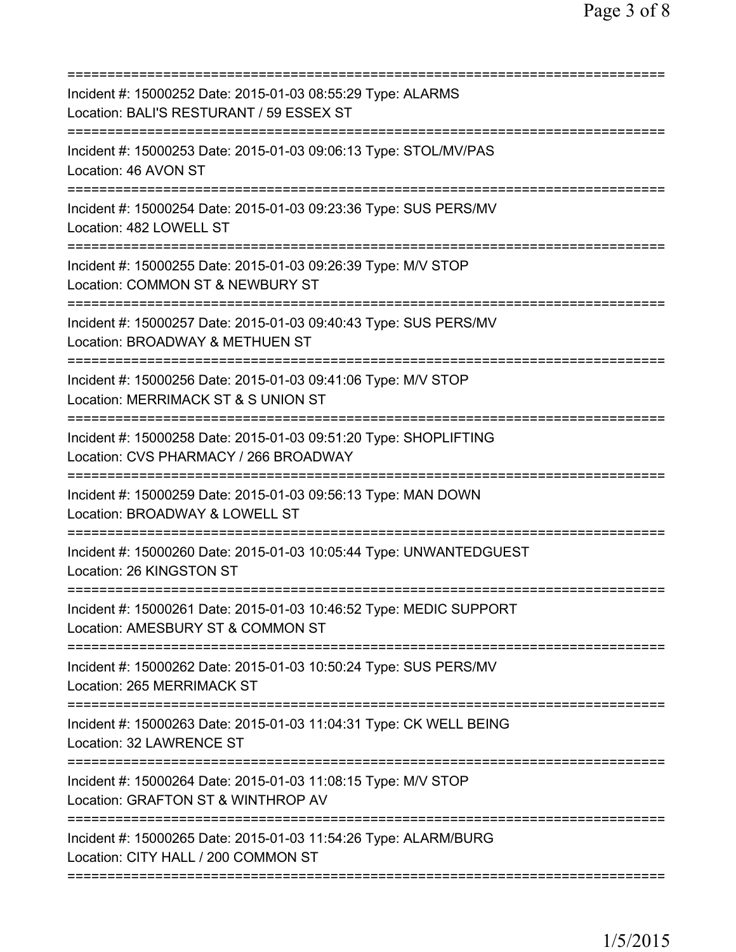| Incident #: 15000252 Date: 2015-01-03 08:55:29 Type: ALARMS<br>Location: BALI'S RESTURANT / 59 ESSEX ST                            |
|------------------------------------------------------------------------------------------------------------------------------------|
| Incident #: 15000253 Date: 2015-01-03 09:06:13 Type: STOL/MV/PAS<br>Location: 46 AVON ST                                           |
| Incident #: 15000254 Date: 2015-01-03 09:23:36 Type: SUS PERS/MV<br>Location: 482 LOWELL ST                                        |
| Incident #: 15000255 Date: 2015-01-03 09:26:39 Type: M/V STOP<br>Location: COMMON ST & NEWBURY ST                                  |
| Incident #: 15000257 Date: 2015-01-03 09:40:43 Type: SUS PERS/MV<br>Location: BROADWAY & METHUEN ST                                |
| :=========================<br>Incident #: 15000256 Date: 2015-01-03 09:41:06 Type: M/V STOP<br>Location: MERRIMACK ST & S UNION ST |
| Incident #: 15000258 Date: 2015-01-03 09:51:20 Type: SHOPLIFTING<br>Location: CVS PHARMACY / 266 BROADWAY                          |
| Incident #: 15000259 Date: 2015-01-03 09:56:13 Type: MAN DOWN<br>Location: BROADWAY & LOWELL ST                                    |
| Incident #: 15000260 Date: 2015-01-03 10:05:44 Type: UNWANTEDGUEST<br>Location: 26 KINGSTON ST                                     |
| Incident #: 15000261 Date: 2015-01-03 10:46:52 Type: MEDIC SUPPORT<br>Location: AMESBURY ST & COMMON ST                            |
| Incident #: 15000262 Date: 2015-01-03 10:50:24 Type: SUS PERS/MV<br>Location: 265 MERRIMACK ST                                     |
| Incident #: 15000263 Date: 2015-01-03 11:04:31 Type: CK WELL BEING<br>Location: 32 LAWRENCE ST                                     |
| Incident #: 15000264 Date: 2015-01-03 11:08:15 Type: M/V STOP<br>Location: GRAFTON ST & WINTHROP AV                                |
| Incident #: 15000265 Date: 2015-01-03 11:54:26 Type: ALARM/BURG<br>Location: CITY HALL / 200 COMMON ST                             |
|                                                                                                                                    |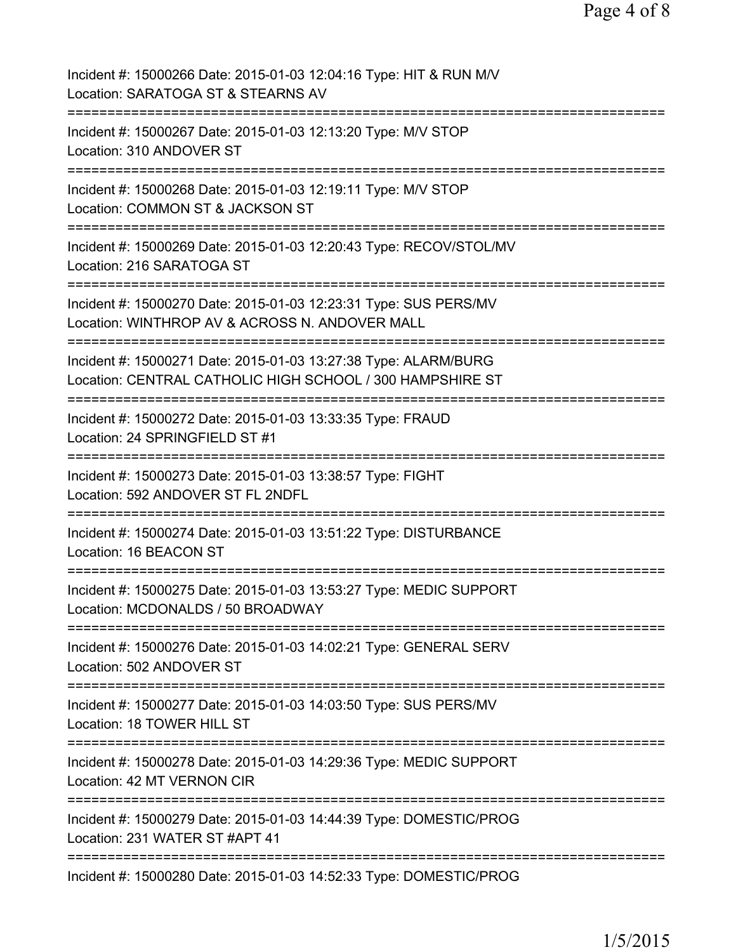| Incident #: 15000266 Date: 2015-01-03 12:04:16 Type: HIT & RUN M/V<br>Location: SARATOGA ST & STEARNS AV                          |
|-----------------------------------------------------------------------------------------------------------------------------------|
| Incident #: 15000267 Date: 2015-01-03 12:13:20 Type: M/V STOP<br>Location: 310 ANDOVER ST                                         |
| Incident #: 15000268 Date: 2015-01-03 12:19:11 Type: M/V STOP<br>Location: COMMON ST & JACKSON ST                                 |
| Incident #: 15000269 Date: 2015-01-03 12:20:43 Type: RECOV/STOL/MV<br>Location: 216 SARATOGA ST                                   |
| Incident #: 15000270 Date: 2015-01-03 12:23:31 Type: SUS PERS/MV<br>Location: WINTHROP AV & ACROSS N. ANDOVER MALL                |
| Incident #: 15000271 Date: 2015-01-03 13:27:38 Type: ALARM/BURG<br>Location: CENTRAL CATHOLIC HIGH SCHOOL / 300 HAMPSHIRE ST      |
| Incident #: 15000272 Date: 2015-01-03 13:33:35 Type: FRAUD<br>Location: 24 SPRINGFIELD ST #1                                      |
| Incident #: 15000273 Date: 2015-01-03 13:38:57 Type: FIGHT<br>Location: 592 ANDOVER ST FL 2NDFL                                   |
| Incident #: 15000274 Date: 2015-01-03 13:51:22 Type: DISTURBANCE<br>Location: 16 BEACON ST                                        |
| Incident #: 15000275 Date: 2015-01-03 13:53:27 Type: MEDIC SUPPORT<br>Location: MCDONALDS / 50 BROADWAY                           |
| Incident #: 15000276 Date: 2015-01-03 14:02:21 Type: GENERAL SERV<br>Location: 502 ANDOVER ST                                     |
| ===============================<br>Incident #: 15000277 Date: 2015-01-03 14:03:50 Type: SUS PERS/MV<br>Location: 18 TOWER HILL ST |
| Incident #: 15000278 Date: 2015-01-03 14:29:36 Type: MEDIC SUPPORT<br>Location: 42 MT VERNON CIR                                  |
| Incident #: 15000279 Date: 2015-01-03 14:44:39 Type: DOMESTIC/PROG<br>Location: 231 WATER ST #APT 41                              |
| Incident #: 15000280 Date: 2015-01-03 14:52:33 Type: DOMESTIC/PROG                                                                |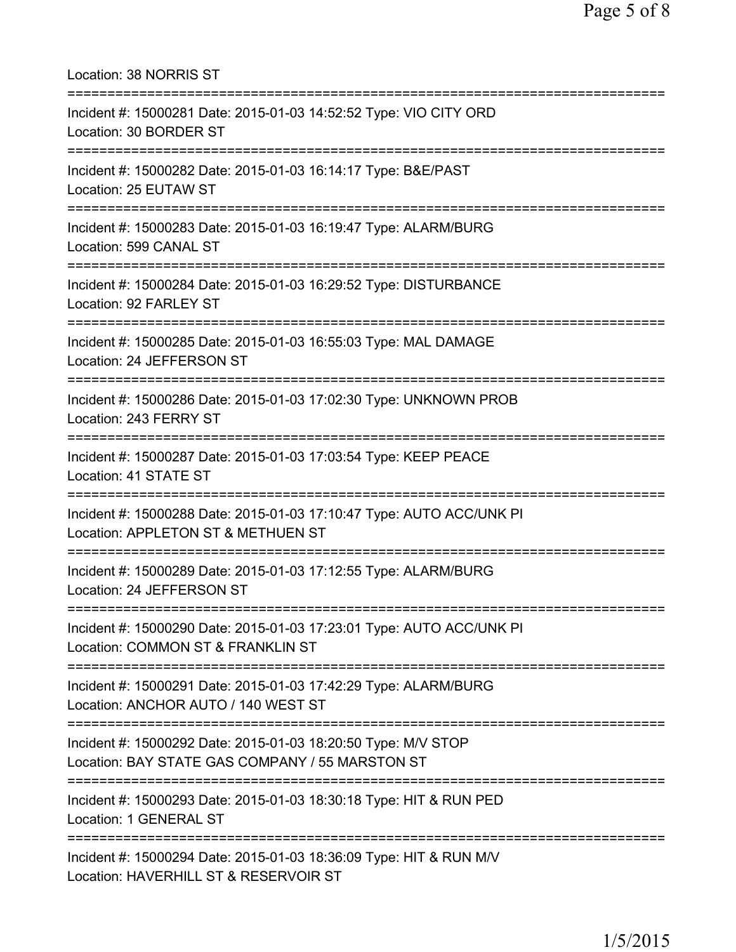Location: 38 NORRIS ST =========================================================================== Incident #: 15000281 Date: 2015-01-03 14:52:52 Type: VIO CITY ORD Location: 30 BORDER ST =========================================================================== Incident #: 15000282 Date: 2015-01-03 16:14:17 Type: B&E/PAST Location: 25 EUTAW ST =========================================================================== Incident #: 15000283 Date: 2015-01-03 16:19:47 Type: ALARM/BURG Location: 599 CANAL ST =========================================================================== Incident #: 15000284 Date: 2015-01-03 16:29:52 Type: DISTURBANCE Location: 92 FARLEY ST =========================================================================== Incident #: 15000285 Date: 2015-01-03 16:55:03 Type: MAL DAMAGE Location: 24 JEFFERSON ST =========================================================================== Incident #: 15000286 Date: 2015-01-03 17:02:30 Type: UNKNOWN PROB Location: 243 FERRY ST =========================================================================== Incident #: 15000287 Date: 2015-01-03 17:03:54 Type: KEEP PEACE Location: 41 STATE ST =========================================================================== Incident #: 15000288 Date: 2015-01-03 17:10:47 Type: AUTO ACC/UNK PI Location: APPLETON ST & METHUEN ST =========================================================================== Incident #: 15000289 Date: 2015-01-03 17:12:55 Type: ALARM/BURG Location: 24 JEFFERSON ST =========================================================================== Incident #: 15000290 Date: 2015-01-03 17:23:01 Type: AUTO ACC/UNK PI Location: COMMON ST & FRANKLIN ST =========================================================================== Incident #: 15000291 Date: 2015-01-03 17:42:29 Type: ALARM/BURG Location: ANCHOR AUTO / 140 WEST ST =========================================================================== Incident #: 15000292 Date: 2015-01-03 18:20:50 Type: M/V STOP Location: BAY STATE GAS COMPANY / 55 MARSTON ST =========================================================================== Incident #: 15000293 Date: 2015-01-03 18:30:18 Type: HIT & RUN PED Location: 1 GENERAL ST =========================================================================== Incident #: 15000294 Date: 2015-01-03 18:36:09 Type: HIT & RUN M/V Location: HAVERHILL ST & RESERVOIR ST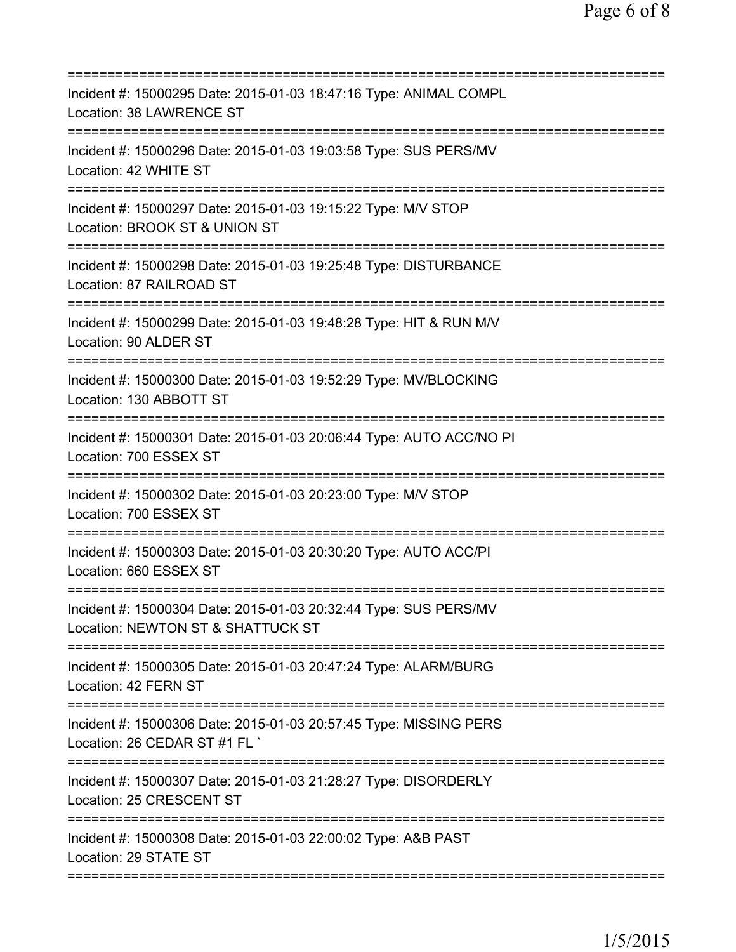| Incident #: 15000295 Date: 2015-01-03 18:47:16 Type: ANIMAL COMPL<br>Location: 38 LAWRENCE ST                                           |
|-----------------------------------------------------------------------------------------------------------------------------------------|
| Incident #: 15000296 Date: 2015-01-03 19:03:58 Type: SUS PERS/MV<br>Location: 42 WHITE ST                                               |
| Incident #: 15000297 Date: 2015-01-03 19:15:22 Type: M/V STOP<br>Location: BROOK ST & UNION ST                                          |
| Incident #: 15000298 Date: 2015-01-03 19:25:48 Type: DISTURBANCE<br>Location: 87 RAILROAD ST                                            |
| Incident #: 15000299 Date: 2015-01-03 19:48:28 Type: HIT & RUN M/V<br>Location: 90 ALDER ST                                             |
| ======================================<br>Incident #: 15000300 Date: 2015-01-03 19:52:29 Type: MV/BLOCKING<br>Location: 130 ABBOTT ST   |
| ======================================<br>Incident #: 15000301 Date: 2015-01-03 20:06:44 Type: AUTO ACC/NO PI<br>Location: 700 ESSEX ST |
| ================================<br>Incident #: 15000302 Date: 2015-01-03 20:23:00 Type: M/V STOP<br>Location: 700 ESSEX ST             |
| Incident #: 15000303 Date: 2015-01-03 20:30:20 Type: AUTO ACC/PI<br>Location: 660 ESSEX ST                                              |
| Incident #: 15000304 Date: 2015-01-03 20:32:44 Type: SUS PERS/MV<br>Location: NEWTON ST & SHATTUCK ST                                   |
| Incident #: 15000305 Date: 2015-01-03 20:47:24 Type: ALARM/BURG<br>Location: 42 FERN ST                                                 |
| Incident #: 15000306 Date: 2015-01-03 20:57:45 Type: MISSING PERS<br>Location: 26 CEDAR ST #1 FL `                                      |
| Incident #: 15000307 Date: 2015-01-03 21:28:27 Type: DISORDERLY<br>Location: 25 CRESCENT ST                                             |
| Incident #: 15000308 Date: 2015-01-03 22:00:02 Type: A&B PAST<br>Location: 29 STATE ST                                                  |
|                                                                                                                                         |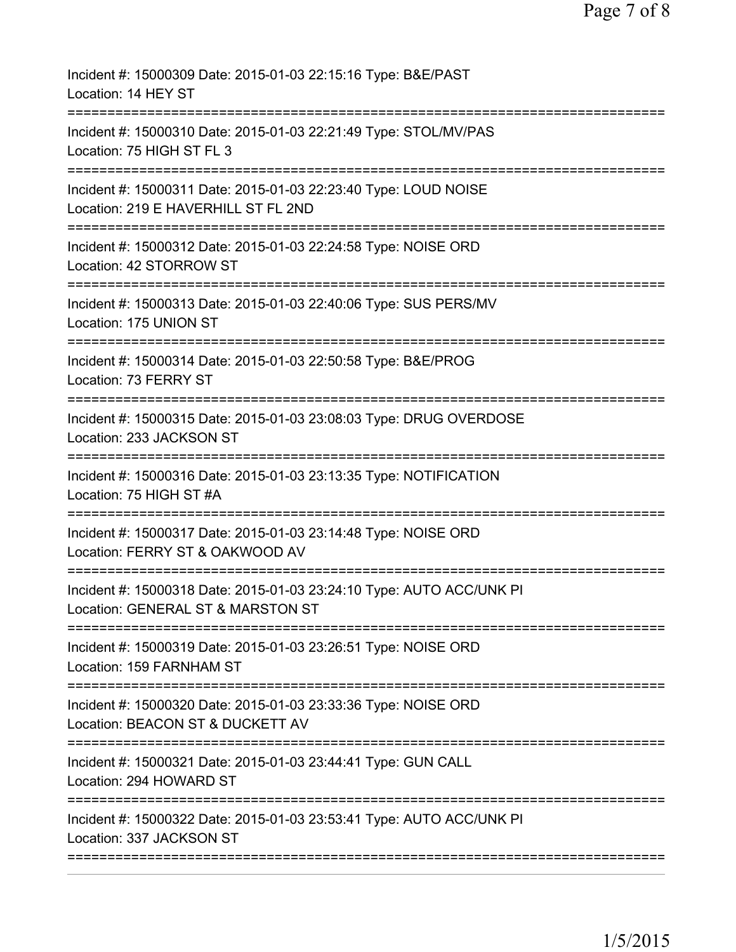| Incident #: 15000309 Date: 2015-01-03 22:15:16 Type: B&E/PAST<br>Location: 14 HEY ST                                                 |
|--------------------------------------------------------------------------------------------------------------------------------------|
| Incident #: 15000310 Date: 2015-01-03 22:21:49 Type: STOL/MV/PAS<br>Location: 75 HIGH ST FL 3                                        |
| Incident #: 15000311 Date: 2015-01-03 22:23:40 Type: LOUD NOISE<br>Location: 219 E HAVERHILL ST FL 2ND                               |
| Incident #: 15000312 Date: 2015-01-03 22:24:58 Type: NOISE ORD<br>Location: 42 STORROW ST                                            |
| Incident #: 15000313 Date: 2015-01-03 22:40:06 Type: SUS PERS/MV<br>Location: 175 UNION ST                                           |
| Incident #: 15000314 Date: 2015-01-03 22:50:58 Type: B&E/PROG<br>Location: 73 FERRY ST                                               |
| Incident #: 15000315 Date: 2015-01-03 23:08:03 Type: DRUG OVERDOSE<br>Location: 233 JACKSON ST                                       |
| Incident #: 15000316 Date: 2015-01-03 23:13:35 Type: NOTIFICATION<br>Location: 75 HIGH ST #A<br>==================================== |
| Incident #: 15000317 Date: 2015-01-03 23:14:48 Type: NOISE ORD<br>Location: FERRY ST & OAKWOOD AV                                    |
| Incident #: 15000318 Date: 2015-01-03 23:24:10 Type: AUTO ACC/UNK PI<br>Location: GENERAL ST & MARSTON ST                            |
| Incident #: 15000319 Date: 2015-01-03 23:26:51 Type: NOISE ORD<br>Location: 159 FARNHAM ST                                           |
| Incident #: 15000320 Date: 2015-01-03 23:33:36 Type: NOISE ORD<br>Location: BEACON ST & DUCKETT AV                                   |
| ---------------------------<br>Incident #: 15000321 Date: 2015-01-03 23:44:41 Type: GUN CALL<br>Location: 294 HOWARD ST              |
| Incident #: 15000322 Date: 2015-01-03 23:53:41 Type: AUTO ACC/UNK PI<br>Location: 337 JACKSON ST                                     |
|                                                                                                                                      |